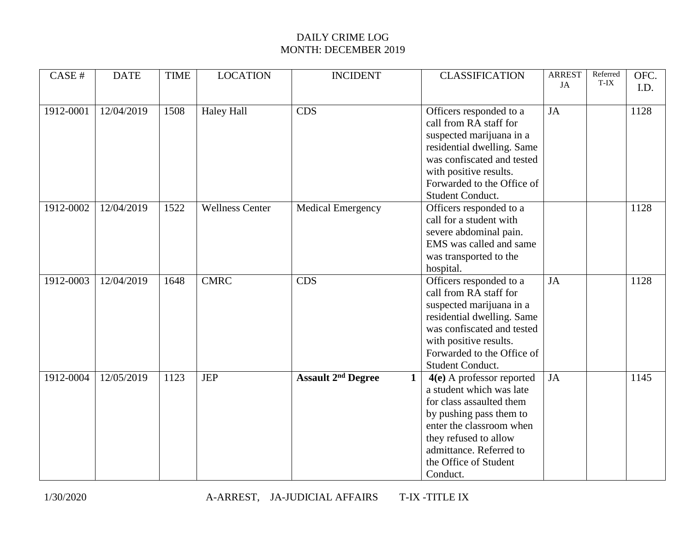| CASE#     | <b>DATE</b> | <b>TIME</b> | <b>LOCATION</b>        | <b>INCIDENT</b>                      | <b>CLASSIFICATION</b>                                                                                                                                                                                                                    | <b>ARREST</b><br>JA | Referred<br>T-IX | OFC.<br>I.D. |
|-----------|-------------|-------------|------------------------|--------------------------------------|------------------------------------------------------------------------------------------------------------------------------------------------------------------------------------------------------------------------------------------|---------------------|------------------|--------------|
| 1912-0001 | 12/04/2019  | 1508        | <b>Haley Hall</b>      | <b>CDS</b>                           | Officers responded to a<br>call from RA staff for<br>suspected marijuana in a<br>residential dwelling. Same<br>was confiscated and tested<br>with positive results.<br>Forwarded to the Office of<br>Student Conduct.                    | <b>JA</b>           |                  | 1128         |
| 1912-0002 | 12/04/2019  | 1522        | <b>Wellness Center</b> | Medical Emergency                    | Officers responded to a<br>call for a student with<br>severe abdominal pain.<br>EMS was called and same<br>was transported to the<br>hospital.                                                                                           |                     |                  | 1128         |
| 1912-0003 | 12/04/2019  | 1648        | <b>CMRC</b>            | <b>CDS</b>                           | Officers responded to a<br>call from RA staff for<br>suspected marijuana in a<br>residential dwelling. Same<br>was confiscated and tested<br>with positive results.<br>Forwarded to the Office of<br>Student Conduct.                    | JA                  |                  | 1128         |
| 1912-0004 | 12/05/2019  | 1123        | <b>JEP</b>             | <b>Assault 2<sup>nd</sup> Degree</b> | $4(e)$ A professor reported<br>1<br>a student which was late<br>for class assaulted them<br>by pushing pass them to<br>enter the classroom when<br>they refused to allow<br>admittance. Referred to<br>the Office of Student<br>Conduct. | <b>JA</b>           |                  | 1145         |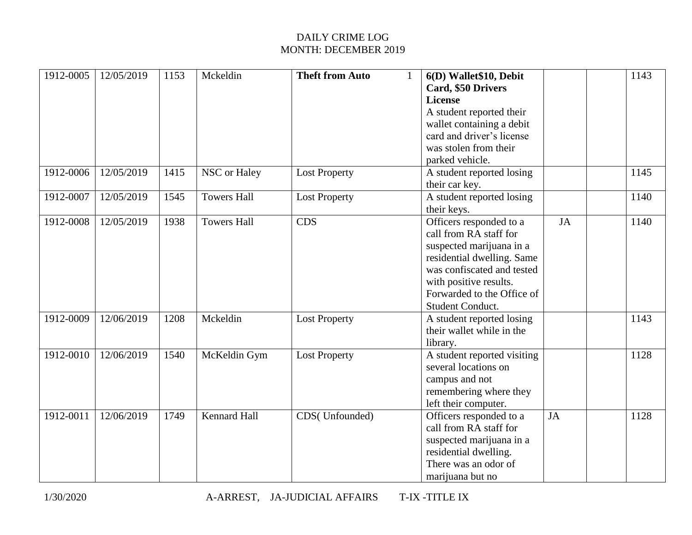| 1912-0005 | 12/05/2019 | 1153 | Mckeldin           | <b>Theft from Auto</b> | $\mathbf{1}$ | 6(D) Wallet\$10, Debit<br>Card, \$50 Drivers<br><b>License</b><br>A student reported their<br>wallet containing a debit<br>card and driver's license<br>was stolen from their                                         |    | 1143 |
|-----------|------------|------|--------------------|------------------------|--------------|-----------------------------------------------------------------------------------------------------------------------------------------------------------------------------------------------------------------------|----|------|
|           |            |      |                    |                        |              | parked vehicle.                                                                                                                                                                                                       |    |      |
| 1912-0006 | 12/05/2019 | 1415 | NSC or Haley       | <b>Lost Property</b>   |              | A student reported losing<br>their car key.                                                                                                                                                                           |    | 1145 |
| 1912-0007 | 12/05/2019 | 1545 | <b>Towers Hall</b> | <b>Lost Property</b>   |              | A student reported losing<br>their keys.                                                                                                                                                                              |    | 1140 |
| 1912-0008 | 12/05/2019 | 1938 | <b>Towers Hall</b> | <b>CDS</b>             |              | Officers responded to a<br>call from RA staff for<br>suspected marijuana in a<br>residential dwelling. Same<br>was confiscated and tested<br>with positive results.<br>Forwarded to the Office of<br>Student Conduct. | JA | 1140 |
| 1912-0009 | 12/06/2019 | 1208 | Mckeldin           | <b>Lost Property</b>   |              | A student reported losing<br>their wallet while in the<br>library.                                                                                                                                                    |    | 1143 |
| 1912-0010 | 12/06/2019 | 1540 | McKeldin Gym       | <b>Lost Property</b>   |              | A student reported visiting<br>several locations on<br>campus and not<br>remembering where they<br>left their computer.                                                                                               |    | 1128 |
| 1912-0011 | 12/06/2019 | 1749 | Kennard Hall       | CDS(Unfounded)         |              | Officers responded to a<br>call from RA staff for<br>suspected marijuana in a<br>residential dwelling.<br>There was an odor of<br>marijuana but no                                                                    | JA | 1128 |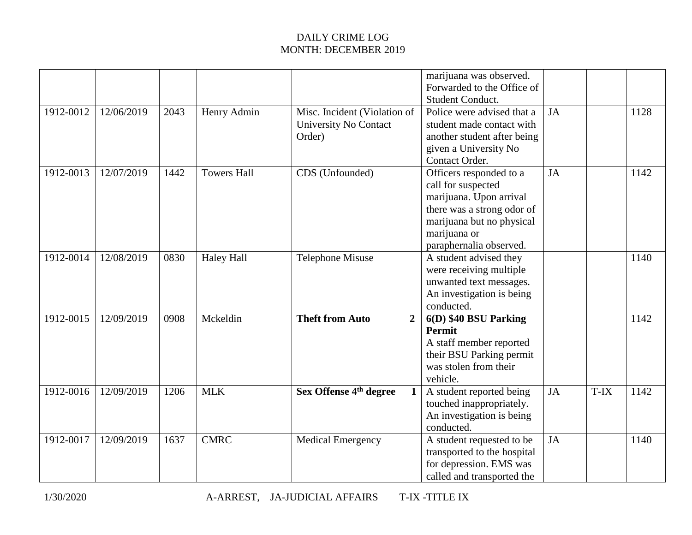|           |            |      |                    |                                                                 | marijuana was observed.<br>Forwarded to the Office of<br><b>Student Conduct.</b>                                                                                               |           |      |      |
|-----------|------------|------|--------------------|-----------------------------------------------------------------|--------------------------------------------------------------------------------------------------------------------------------------------------------------------------------|-----------|------|------|
| 1912-0012 | 12/06/2019 | 2043 | Henry Admin        | Misc. Incident (Violation of<br>University No Contact<br>Order) | Police were advised that a<br>student made contact with<br>another student after being<br>given a University No<br>Contact Order.                                              | JA        |      | 1128 |
| 1912-0013 | 12/07/2019 | 1442 | <b>Towers Hall</b> | CDS (Unfounded)                                                 | Officers responded to a<br>call for suspected<br>marijuana. Upon arrival<br>there was a strong odor of<br>marijuana but no physical<br>marijuana or<br>paraphernalia observed. | JA        |      | 1142 |
| 1912-0014 | 12/08/2019 | 0830 | <b>Haley Hall</b>  | <b>Telephone Misuse</b>                                         | A student advised they<br>were receiving multiple<br>unwanted text messages.<br>An investigation is being<br>conducted.                                                        |           |      | 1140 |
| 1912-0015 | 12/09/2019 | 0908 | Mckeldin           | <b>Theft from Auto</b><br>$\overline{2}$                        | 6(D) \$40 BSU Parking<br><b>Permit</b><br>A staff member reported<br>their BSU Parking permit<br>was stolen from their<br>vehicle.                                             |           |      | 1142 |
| 1912-0016 | 12/09/2019 | 1206 | <b>MLK</b>         | Sex Offense 4 <sup>th</sup> degree<br>$\mathbf{1}$              | A student reported being<br>touched inappropriately.<br>An investigation is being<br>conducted.                                                                                | JA        | T-IX | 1142 |
| 1912-0017 | 12/09/2019 | 1637 | <b>CMRC</b>        | <b>Medical Emergency</b>                                        | A student requested to be<br>transported to the hospital<br>for depression. EMS was<br>called and transported the                                                              | <b>JA</b> |      | 1140 |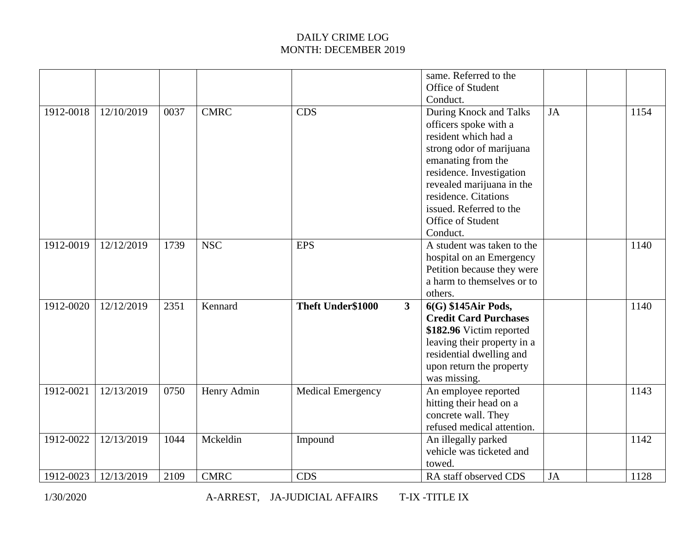|           |            |      |             |                                   | same. Referred to the<br>Office of Student<br>Conduct.                                                                                                                                                                                                                 |    |      |
|-----------|------------|------|-------------|-----------------------------------|------------------------------------------------------------------------------------------------------------------------------------------------------------------------------------------------------------------------------------------------------------------------|----|------|
| 1912-0018 | 12/10/2019 | 0037 | <b>CMRC</b> | CDS                               | During Knock and Talks<br>officers spoke with a<br>resident which had a<br>strong odor of marijuana<br>emanating from the<br>residence. Investigation<br>revealed marijuana in the<br>residence. Citations<br>issued. Referred to the<br>Office of Student<br>Conduct. | JA | 1154 |
| 1912-0019 | 12/12/2019 | 1739 | <b>NSC</b>  | <b>EPS</b>                        | A student was taken to the<br>hospital on an Emergency<br>Petition because they were<br>a harm to themselves or to<br>others.                                                                                                                                          |    | 1140 |
| 1912-0020 | 12/12/2019 | 2351 | Kennard     | Theft Under\$1000<br>$\mathbf{3}$ | 6(G) \$145Air Pods,<br><b>Credit Card Purchases</b><br>\$182.96 Victim reported<br>leaving their property in a<br>residential dwelling and<br>upon return the property<br>was missing.                                                                                 |    | 1140 |
| 1912-0021 | 12/13/2019 | 0750 | Henry Admin | <b>Medical Emergency</b>          | An employee reported<br>hitting their head on a<br>concrete wall. They<br>refused medical attention.                                                                                                                                                                   |    | 1143 |
| 1912-0022 | 12/13/2019 | 1044 | Mckeldin    | Impound                           | An illegally parked<br>vehicle was ticketed and<br>towed.                                                                                                                                                                                                              |    | 1142 |
| 1912-0023 | 12/13/2019 | 2109 | <b>CMRC</b> | <b>CDS</b>                        | RA staff observed CDS                                                                                                                                                                                                                                                  | JA | 1128 |